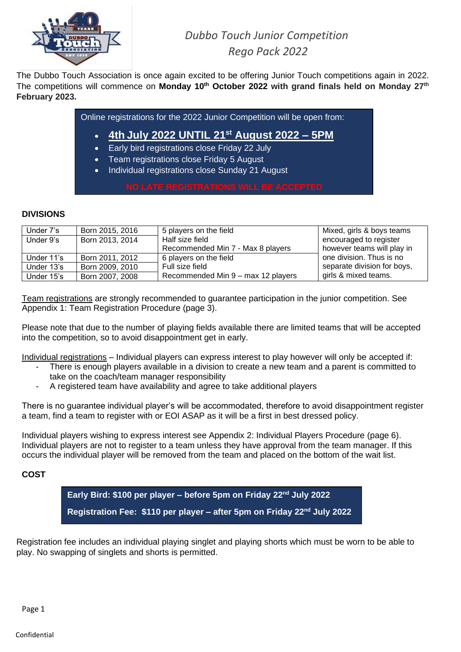

# *Dubbo Touch Junior Competition Rego Pack 2022*

The Dubbo Touch Association is once again excited to be offering Junior Touch competitions again in 2022. The competitions will commence on **Monday 10th October 2022 with grand finals held on Monday 27th February 2023.**

Online registrations for the 2022 Junior Competition will be open from:

- **4th July 2022 UNTIL 21st August 2022 – 5PM**
- Early bird registrations close Friday 22 July
- Team registrations close Friday 5 August
- Individual registrations close Sunday 21 August

### **DIVISIONS**

| Under 7's  | Born 2015, 2016 | 5 players on the field             | Mixed, girls & boys teams   |
|------------|-----------------|------------------------------------|-----------------------------|
| Under 9's  | Born 2013, 2014 | Half size field                    | encouraged to register      |
|            |                 | Recommended Min 7 - Max 8 players  | however teams will play in  |
| Under 11's | Born 2011, 2012 | 6 players on the field             | one division. Thus is no    |
| Under 13's | Born 2009, 2010 | Full size field                    | separate division for boys, |
| Under 15's | Born 2007, 2008 | Recommended Min 9 - max 12 players | girls & mixed teams.        |

Team registrations are strongly recommended to guarantee participation in the junior competition. See Appendix 1: Team Registration Procedure (page 3).

Please note that due to the number of playing fields available there are limited teams that will be accepted into the competition, so to avoid disappointment get in early.

Individual registrations – Individual players can express interest to play however will only be accepted if:

- There is enough players available in a division to create a new team and a parent is committed to take on the coach/team manager responsibility
- A registered team have availability and agree to take additional players

There is no guarantee individual player's will be accommodated, therefore to avoid disappointment register a team, find a team to register with or EOI ASAP as it will be a first in best dressed policy.

Individual players wishing to express interest see Appendix 2: Individual Players Procedure (page 6). Individual players are not to register to a team unless they have approval from the team manager. If this occurs the individual player will be removed from the team and placed on the bottom of the wait list.

### **COST**

**Early Bird: \$100 per player – before 5pm on Friday 22nd July 2022 Registration Fee: \$110 per player – after 5pm on Friday 22nd July 2022**

Registration fee includes an individual playing singlet and playing shorts which must be worn to be able to play. No swapping of singlets and shorts is permitted.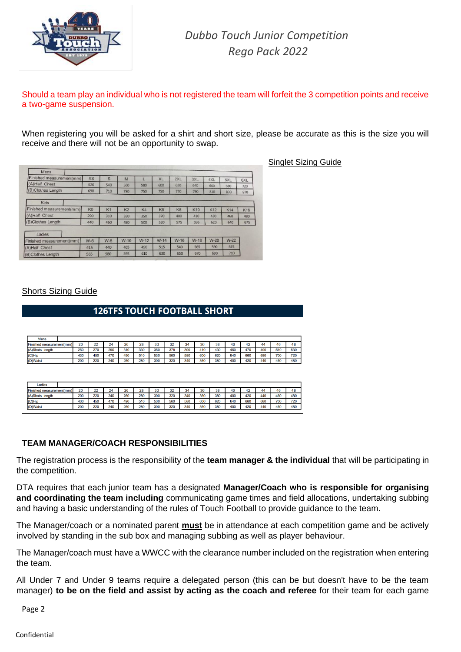

Singlet Sizing Guide

Should a team play an individual who is not registered the team will forfeit the 3 competition points and receive a two-game suspension.

When registering you will be asked for a shirt and short size, please be accurate as this is the size you will receive and there will not be an opportunity to swap.

| Mens                     |                |                |                |        |                |                |            |            |            |            |
|--------------------------|----------------|----------------|----------------|--------|----------------|----------------|------------|------------|------------|------------|
| Finished measurement(mm) | <b>XS</b>      | S              | M              |        | <b>XL</b>      | 2XL            | 3XL        | 4XL        | 5XL        | 6XL        |
| (A)Half Chest            | 520            | 540            | 560            | 580    | 600            | 620            | 640        | 660        | 680        | 720        |
| (B)Clothes Length        | 690            | 710            | 730            | 750    | 750            | 770            | 790        | 810        | 830        | 870        |
| Kids                     |                |                |                |        |                |                |            |            |            |            |
| Finished measurement(mm) | K <sub>0</sub> | K <sub>1</sub> | K <sub>2</sub> | K4     | K <sub>6</sub> | K <sub>8</sub> | <b>K10</b> | <b>K12</b> | <b>K14</b> | <b>K16</b> |
| (A)Half Chest            | 290            | 310            | 330            | 350    | 370            | 400            | 410        | 430        | 460        | 480        |
| (B)Clothes Length        | 440            | 460            | 480            | 500    | 520            | 575            | 595        | 620        | 640        | 675        |
| Ladies                   |                |                |                |        |                |                |            |            |            |            |
| Finished measurement(mm) | $W-6$          | $W-8$          | $W-10$         | $W-12$ | $W-14$         | $W-16$         | $W-18$     | $W-20$     | $W-22$     |            |
| (A)Half Chest            | 415            | 440            | 465            | 490    | 515            | 540            | 565        | 590        | 615        |            |
| (B)Clothes Length        | 565            | 580            | 595            | 610    | 630            | 650            | 670        | 690        | 710        |            |

**Shorts Sizing Guide** 

## **126TFS TOUCH FOOTBALL SHORT**

| <b>Mens</b>              |     |          |     |     |     |     |     |     |     |     |     |     |     |     |     |
|--------------------------|-----|----------|-----|-----|-----|-----|-----|-----|-----|-----|-----|-----|-----|-----|-----|
| Finished measurement(mm) | 20  | つつ<br>22 | 24  | 26  | 28  | 30  | 32  | 34  | 36  | 38  | 40  | 42  | 44  | 46  | 48  |
| (A)Shots<br>lenath       | 250 | 270      | 290 | 310 | 330 | 350 | 370 | 390 | 410 | 430 | 450 | 470 | 490 | 510 | 530 |
| $(C)$ Hip                | 430 | 450      | 470 | 490 | 510 | 530 | 560 | 580 | 600 | 620 | 640 | 660 | 680 | 700 | 720 |
| (D)Waist                 | 200 | 220      | 240 | 260 | 280 | 300 | 320 | 340 | 360 | 380 | 400 | 420 | 440 | 460 | 480 |

| Ladies                          |     |          |     |     |     |     |         |     |     |     |     |     |     |     |     |
|---------------------------------|-----|----------|-----|-----|-----|-----|---------|-----|-----|-----|-----|-----|-----|-----|-----|
| <b>Finished measurement(mm)</b> | 20  | つつ<br>22 | 24  | 26  | 28  | 30  | 22<br>œ | 34  | 36  | 38  | 40  | 42  | 44  | 46  | 48  |
| (A)Shots<br>lenath              | 200 | 220      | 240 | 260 | 280 | 300 | 320     | 340 | 360 | 380 | 400 | 420 | 440 | 460 | 480 |
| $(C)$ Hip                       | 430 | 450      | 470 | 490 | 510 | 530 | 560     | 580 | 600 | 620 | 640 | 660 | 680 | 700 | 720 |
| (D)Waist                        | 200 | 220      | 240 | 260 | 280 | 300 | 320     | 340 | 360 | 380 | 400 | 420 | 440 | 460 | 480 |

#### **TEAM MANAGER/COACH RESPONSIBILITIES**

The registration process is the responsibility of the **team manager & the individual** that will be participating in the competition.

DTA requires that each junior team has a designated **Manager/Coach who is responsible for organising and coordinating the team including** communicating game times and field allocations, undertaking subbing and having a basic understanding of the rules of Touch Football to provide guidance to the team.

The Manager/coach or a nominated parent **must** be in attendance at each competition game and be actively involved by standing in the sub box and managing subbing as well as player behaviour.

The Manager/coach must have a WWCC with the clearance number included on the registration when entering the team.

All Under 7 and Under 9 teams require a delegated person (this can be but doesn't have to be the team manager) **to be on the field and assist by acting as the coach and referee** for their team for each game

Page 2

#### Confidential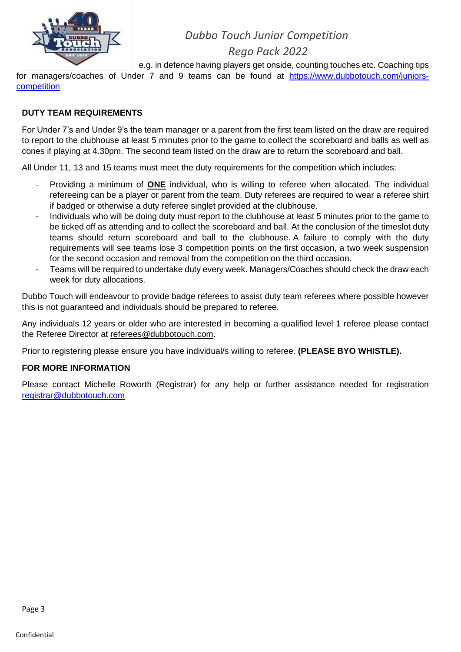

## *Dubbo Touch Junior Competition*

## *Rego Pack 2022*

e.g. in defence having players get onside, counting touches etc. Coaching tips

for managers/coaches of Under 7 and 9 teams can be found at [https://www.dubbotouch.com/juniors](https://www.dubbotouch.com/juniors-competition)[competition](https://www.dubbotouch.com/juniors-competition)

#### **DUTY TEAM REQUIREMENTS**

For Under 7's and Under 9's the team manager or a parent from the first team listed on the draw are required to report to the clubhouse at least 5 minutes prior to the game to collect the scoreboard and balls as well as cones if playing at 4.30pm. The second team listed on the draw are to return the scoreboard and ball.

All Under 11, 13 and 15 teams must meet the duty requirements for the competition which includes:

- Providing a minimum of **ONE** individual, who is willing to referee when allocated. The individual refereeing can be a player or parent from the team. Duty referees are required to wear a referee shirt if badged or otherwise a duty referee singlet provided at the clubhouse.
- Individuals who will be doing duty must report to the clubhouse at least 5 minutes prior to the game to be ticked off as attending and to collect the scoreboard and ball. At the conclusion of the timeslot duty teams should return scoreboard and ball to the clubhouse. A failure to comply with the duty requirements will see teams lose 3 competition points on the first occasion, a two week suspension for the second occasion and removal from the competition on the third occasion.
- Teams will be required to undertake duty every week. Managers/Coaches should check the draw each week for duty allocations.

Dubbo Touch will endeavour to provide badge referees to assist duty team referees where possible however this is not guaranteed and individuals should be prepared to referee.

Any individuals 12 years or older who are interested in becoming a qualified level 1 referee please contact the Referee Director at [referees@dubbotouch.com.](mailto:referees@dubbotouch.com)

Prior to registering please ensure you have individual/s willing to referee. **(PLEASE BYO WHISTLE).**

#### **FOR MORE INFORMATION**

Please contact Michelle Roworth (Registrar) for any help or further assistance needed for registration [registrar@dubbotouch.com](mailto:registrar@dubbotouch.com)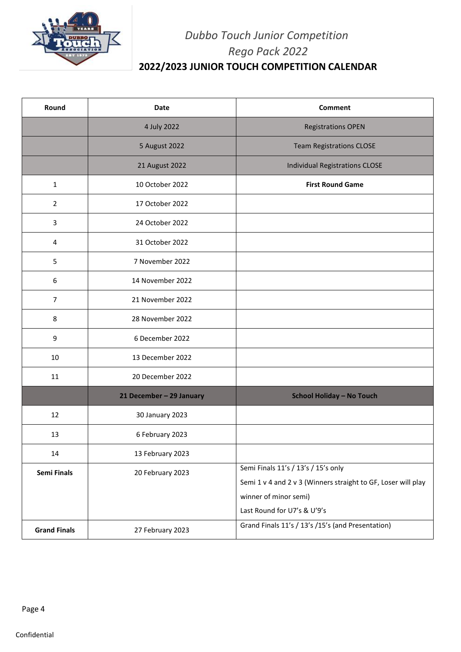

# *Dubbo Touch Junior Competition Rego Pack 2022* **2022/2023 JUNIOR TOUCH COMPETITION CALENDAR**

| Round               | Date                     | <b>Comment</b>                                                |
|---------------------|--------------------------|---------------------------------------------------------------|
|                     | 4 July 2022              | <b>Registrations OPEN</b>                                     |
|                     | 5 August 2022            | <b>Team Registrations CLOSE</b>                               |
|                     | 21 August 2022           | Individual Registrations CLOSE                                |
| $\mathbf{1}$        | 10 October 2022          | <b>First Round Game</b>                                       |
| $\overline{2}$      | 17 October 2022          |                                                               |
| 3                   | 24 October 2022          |                                                               |
| 4                   | 31 October 2022          |                                                               |
| 5                   | 7 November 2022          |                                                               |
| 6                   | 14 November 2022         |                                                               |
| $\overline{7}$      | 21 November 2022         |                                                               |
| 8                   | 28 November 2022         |                                                               |
| 9                   | 6 December 2022          |                                                               |
| 10                  | 13 December 2022         |                                                               |
| 11                  | 20 December 2022         |                                                               |
|                     | 21 December - 29 January | <b>School Holiday - No Touch</b>                              |
| 12                  | 30 January 2023          |                                                               |
| 13                  | 6 February 2023          |                                                               |
| 14                  | 13 February 2023         |                                                               |
| Semi Finals         | 20 February 2023         | Semi Finals 11's / 13's / 15's only                           |
|                     |                          | Semi 1 v 4 and 2 v 3 (Winners straight to GF, Loser will play |
|                     |                          | winner of minor semi)<br>Last Round for U7's & U'9's          |
|                     |                          | Grand Finals 11's / 13's /15's (and Presentation)             |
| <b>Grand Finals</b> | 27 February 2023         |                                                               |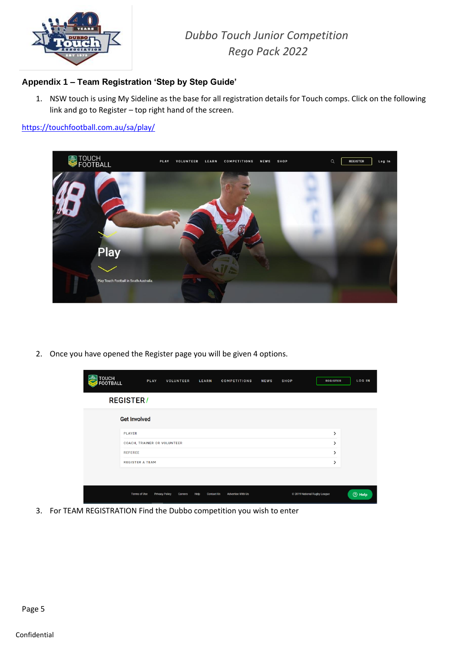

*Dubbo Touch Junior Competition Rego Pack 2022*

## **Appendix 1 – Team Registration 'Step by Step Guide'**

1. NSW touch is using My Sideline as the base for all registration details for Touch comps. Click on the following link and go to Register – top right hand of the screen.

<https://touchfootball.com.au/sa/play/>



2. Once you have opened the Register page you will be given 4 options.

| TOUCH<br>FOOTBALL | PLAY                        | VOLUNTEER                        | <b>LEARN</b>              | <b>COMPETITIONS</b>      | <b>NEWS</b> | <b>SHOP</b>                  | <b>REGISTER</b> | LOG IN   |
|-------------------|-----------------------------|----------------------------------|---------------------------|--------------------------|-------------|------------------------------|-----------------|----------|
|                   | <b>REGISTER/</b>            |                                  |                           |                          |             |                              |                 |          |
|                   | <b>Get Involved</b>         |                                  |                           |                          |             |                              |                 |          |
|                   | <b>PLAYER</b>               |                                  |                           |                          |             |                              | >               |          |
|                   | COACH, TRAINER OR VOLUNTEER |                                  |                           |                          |             |                              | >               |          |
|                   | <b>REFEREE</b>              |                                  |                           |                          |             |                              | ゝ               |          |
|                   | <b>REGISTER A TEAM</b>      |                                  |                           |                          |             |                              | >               |          |
|                   |                             |                                  |                           |                          |             |                              |                 |          |
|                   | <b>Terms of Use</b>         | <b>Privacy Policy</b><br>Careers | Help<br><b>Contact Us</b> | <b>Advertise With Us</b> |             | @ 2019 National Rugby League |                 | $③$ Help |

3. For TEAM REGISTRATION Find the Dubbo competition you wish to enter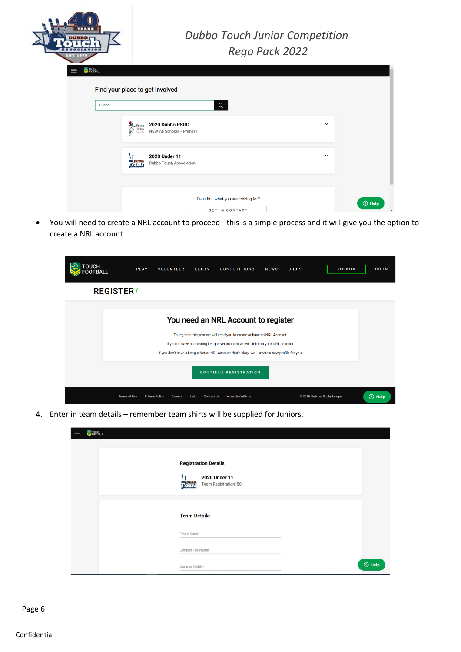

| Dubbo |                                               | $\hbox{\tt Q}$                                      |              |  |
|-------|-----------------------------------------------|-----------------------------------------------------|--------------|--|
|       | $\frac{1}{2}$ Prima<br>School<br>Gala Da<br>Ŵ | 2020 Dubbo PSGD<br><b>NSW All Schools - Primary</b> | $\checkmark$ |  |
|       |                                               | 2020 Under 11<br><b>Dubbo Touch Association</b>     | $\checkmark$ |  |

• You will need to create a NRL account to proceed - this is a simple process and it will give you the option to create a NRL account.



4. Enter in team details – remember team shirts will be supplied for Juniors.

| FOUCH<br>FOOTBALL |                                                                                             |          |
|-------------------|---------------------------------------------------------------------------------------------|----------|
|                   | <b>Registration Details</b><br>2020 Under 11<br>11<br><b>PUBB</b><br>Team Registration: \$0 |          |
|                   | <b>Team Details</b>                                                                         |          |
|                   | Team Name                                                                                   |          |
|                   | Contact Full Name                                                                           |          |
|                   | Contact Mobile                                                                              | $③$ Help |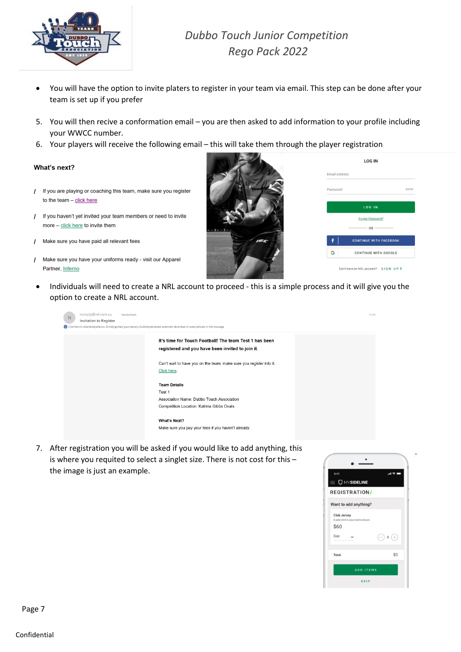![](_page_6_Picture_0.jpeg)

# *Dubbo Touch Junior Competition Rego Pack 2022*

- You will have the option to invite platers to register in your team via email. This step can be done after your team is set up if you prefer
- 5. You will then recive a conformation email you are then asked to add information to your profile including your WWCC number.
- 6. Your players will receive the following email this will take them through the player registration

#### What's next?

- / If you are playing or coaching this team, make sure you register to the team  $-$  click here
- / If you haven't yet invited your team members or need to invite more - click here to invite them
- / Make sure you have paid all relevant fees
- Make sure you have your uniforms ready visit our Apparel  $\mathcal{L}$ Partner, Inferno

| ٠ |  |
|---|--|

 $\mathcal{L} = \mathcal{L}$ 

| Fmail address |                               |
|---------------|-------------------------------|
| Password      | SHOW                          |
|               | LOG IN                        |
|               | Forgot Password?              |
|               | $-$ OR $-$                    |
|               | <b>CONTINUE WITH FACEBOOK</b> |
|               |                               |

• Individuals will need to create a NRL account to proceed - this is a simple process and it will give you the option to create a NRL account.

| noreply@nrl.com.au<br>Sandra Davis<br>N<br><b>Invitation to Register</b><br>Click here to download pictures. To help protect your privacy, Outlook prevented automatic download of some pictures in this message. |                                                                                                                         | 11:23 |
|-------------------------------------------------------------------------------------------------------------------------------------------------------------------------------------------------------------------|-------------------------------------------------------------------------------------------------------------------------|-------|
|                                                                                                                                                                                                                   | It's time for Touch Football! The team Test 1 has been<br>registered and you have been invited to join it.              |       |
|                                                                                                                                                                                                                   | Can't wait to have you on the team, make sure you register into it.<br>Click here.                                      |       |
|                                                                                                                                                                                                                   | <b>Team Details</b><br>Test 1<br>Association Name: Dubbo Touch Association<br>Competition Location: Katrina Gibbs Ovals |       |
|                                                                                                                                                                                                                   | What's Next?<br>Make sure you pay your fees if you haven't already.                                                     |       |

7. After registration you will be asked if you would like to add anything, this is where you requited to select a singlet size. There is not cost for this – the image is just an example.

![](_page_6_Picture_15.jpeg)